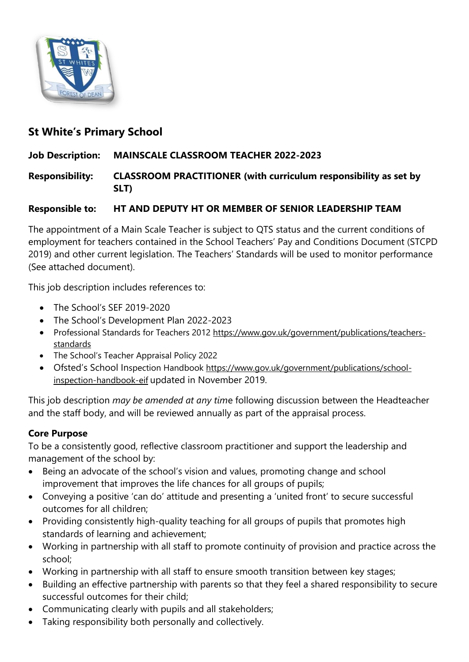

# **St White's Primary School**

### **Job Description: MAINSCALE CLASSROOM TEACHER 2022-2023**

**Responsibility: CLASSROOM PRACTITIONER (with curriculum responsibility as set by SLT)**

### **Responsible to: HT AND DEPUTY HT OR MEMBER OF SENIOR LEADERSHIP TEAM**

The appointment of a Main Scale Teacher is subject to QTS status and the current conditions of employment for teachers contained in the School Teachers' Pay and Conditions Document (STCPD 2019) and other current legislation. The Teachers' Standards will be used to monitor performance (See attached document).

This job description includes references to:

- The School's SEF 2019-2020
- The School's Development Plan 2022-2023
- Professional Standards for Teachers 2012 [https://www.gov.uk/government/publications/teachers](https://www.gov.uk/government/publications/teachers-standards)[standards](https://www.gov.uk/government/publications/teachers-standards)
- The School's Teacher Appraisal Policy 2022
- Ofsted's School Inspection Handbook [https://www.gov.uk/government/publications/school](https://www.gov.uk/government/publications/school-inspection-handbook-eif)[inspection-handbook-eif](https://www.gov.uk/government/publications/school-inspection-handbook-eif) updated in November 2019.

This job description *may be amended at any tim*e following discussion between the Headteacher and the staff body, and will be reviewed annually as part of the appraisal process.

### **Core Purpose**

To be a consistently good, reflective classroom practitioner and support the leadership and management of the school by:

- Being an advocate of the school's vision and values, promoting change and school improvement that improves the life chances for all groups of pupils;
- Conveying a positive 'can do' attitude and presenting a 'united front' to secure successful outcomes for all children;
- Providing consistently high-quality teaching for all groups of pupils that promotes high standards of learning and achievement;
- Working in partnership with all staff to promote continuity of provision and practice across the school;
- Working in partnership with all staff to ensure smooth transition between key stages;
- Building an effective partnership with parents so that they feel a shared responsibility to secure successful outcomes for their child;
- Communicating clearly with pupils and all stakeholders;
- Taking responsibility both personally and collectively.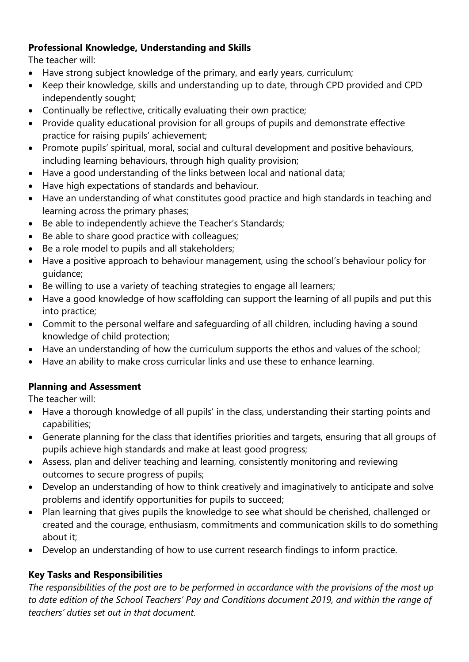## **Professional Knowledge, Understanding and Skills**

The teacher will:

- Have strong subject knowledge of the primary, and early years, curriculum;
- Keep their knowledge, skills and understanding up to date, through CPD provided and CPD independently sought;
- Continually be reflective, critically evaluating their own practice;
- Provide quality educational provision for all groups of pupils and demonstrate effective practice for raising pupils' achievement;
- Promote pupils' spiritual, moral, social and cultural development and positive behaviours, including learning behaviours, through high quality provision;
- Have a good understanding of the links between local and national data;
- Have high expectations of standards and behaviour.
- Have an understanding of what constitutes good practice and high standards in teaching and learning across the primary phases;
- Be able to independently achieve the Teacher's Standards;
- Be able to share good practice with colleagues;
- Be a role model to pupils and all stakeholders;
- Have a positive approach to behaviour management, using the school's behaviour policy for guidance;
- Be willing to use a variety of teaching strategies to engage all learners;
- Have a good knowledge of how scaffolding can support the learning of all pupils and put this into practice;
- Commit to the personal welfare and safeguarding of all children, including having a sound knowledge of child protection;
- Have an understanding of how the curriculum supports the ethos and values of the school;
- Have an ability to make cross curricular links and use these to enhance learning.

## **Planning and Assessment**

The teacher will:

- Have a thorough knowledge of all pupils' in the class, understanding their starting points and capabilities;
- Generate planning for the class that identifies priorities and targets, ensuring that all groups of pupils achieve high standards and make at least good progress;
- Assess, plan and deliver teaching and learning, consistently monitoring and reviewing outcomes to secure progress of pupils;
- Develop an understanding of how to think creatively and imaginatively to anticipate and solve problems and identify opportunities for pupils to succeed;
- Plan learning that gives pupils the knowledge to see what should be cherished, challenged or created and the courage, enthusiasm, commitments and communication skills to do something about it;
- Develop an understanding of how to use current research findings to inform practice.

## **Key Tasks and Responsibilities**

*The responsibilities of the post are to be performed in accordance with the provisions of the most up to date edition of the School Teachers' Pay and Conditions document 2019, and within the range of teachers' duties set out in that document.*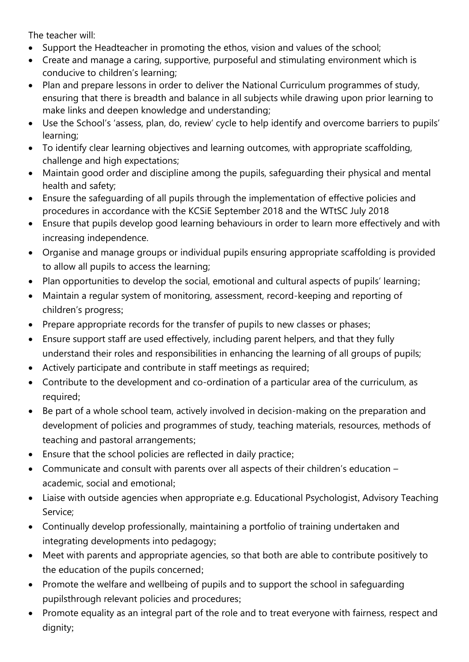The teacher will:

- Support the Headteacher in promoting the ethos, vision and values of the school;
- Create and manage a caring, supportive, purposeful and stimulating environment which is conducive to children's learning;
- Plan and prepare lessons in order to deliver the National Curriculum programmes of study, ensuring that there is breadth and balance in all subjects while drawing upon prior learning to make links and deepen knowledge and understanding;
- Use the School's 'assess, plan, do, review' cycle to help identify and overcome barriers to pupils' learning;
- To identify clear learning objectives and learning outcomes, with appropriate scaffolding, challenge and high expectations;
- Maintain good order and discipline among the pupils, safeguarding their physical and mental health and safety;
- Ensure the safeguarding of all pupils through the implementation of effective policies and procedures in accordance with the KCSiE September 2018 and the WTtSC July 2018
- Ensure that pupils develop good learning behaviours in order to learn more effectively and with increasing independence.
- Organise and manage groups or individual pupils ensuring appropriate scaffolding is provided to allow all pupils to access the learning;
- Plan opportunities to develop the social, emotional and cultural aspects of pupils' learning;
- Maintain a regular system of monitoring, assessment, record-keeping and reporting of children's progress;
- Prepare appropriate records for the transfer of pupils to new classes or phases;
- Ensure support staff are used effectively, including parent helpers, and that they fully understand their roles and responsibilities in enhancing the learning of all groups of pupils;
- Actively participate and contribute in staff meetings as required;
- Contribute to the development and co-ordination of a particular area of the curriculum, as required:
- Be part of a whole school team, actively involved in decision-making on the preparation and development of policies and programmes of study, teaching materials, resources, methods of teaching and pastoral arrangements;
- Ensure that the school policies are reflected in daily practice;
- Communicate and consult with parents over all aspects of their children's education academic, social and emotional;
- Liaise with outside agencies when appropriate e.g. Educational Psychologist, Advisory Teaching Service;
- Continually develop professionally, maintaining a portfolio of training undertaken and integrating developments into pedagogy;
- Meet with parents and appropriate agencies, so that both are able to contribute positively to the education of the pupils concerned;
- Promote the welfare and wellbeing of pupils and to support the school in safeguarding pupilsthrough relevant policies and procedures;
- Promote equality as an integral part of the role and to treat everyone with fairness, respect and dignity;